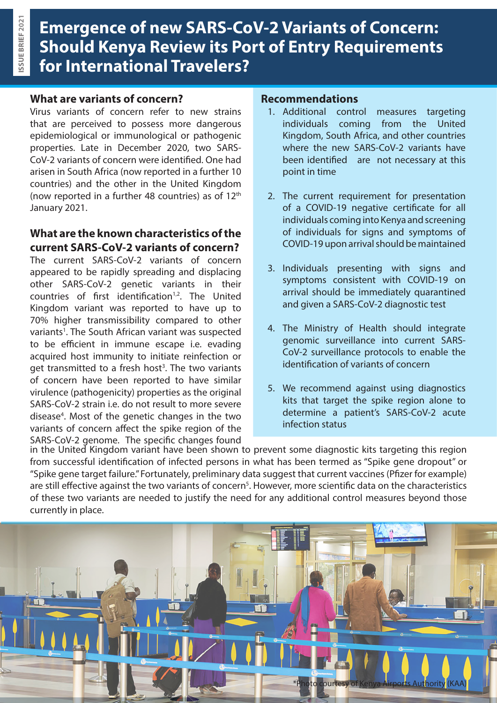# **Emergence of new SARS-CoV-2 Variants of Concern: Should Kenya Review its Port of Entry Requirements for International Travelers?**

## **What are variants of concern?**

Virus variants of concern refer to new strains that are perceived to possess more dangerous epidemiological or immunological or pathogenic properties. Late in December 2020, two SARS-CoV-2 variants of concern were identified. One had arisen in South Africa (now reported in a further 10 countries) and the other in the United Kingdom (now reported in a further 48 countries) as of  $12<sup>th</sup>$ January 2021.

### **What are the known characteristics of the current SARS-CoV-2 variants of concern?**

The current SARS-CoV-2 variants of concern appeared to be rapidly spreading and displacing other SARS-CoV-2 genetic variants in their countries of first identification $1,2$ . The United Kingdom variant was reported to have up to 70% higher transmissibility compared to other variants<sup>1</sup>. The South African variant was suspected to be efficient in immune escape i.e. evading acquired host immunity to initiate reinfection or get transmitted to a fresh host<sup>3</sup>. The two variants of concern have been reported to have similar virulence (pathogenicity) properties as the original SARS-CoV-2 strain i.e. do not result to more severe disease<sup>4</sup>. Most of the genetic changes in the two variants of concern affect the spike region of the SARS-CoV-2 genome. The specific changes found

### **Recommendations**

- 1. Additional control measures targeting individuals coming from the United Kingdom, South Africa, and other countries where the new SARS-CoV-2 variants have been identified are not necessary at this point in time
- 2. The current requirement for presentation of a COVID-19 negative certificate for all individuals coming into Kenya and screening of individuals for signs and symptoms of COVID-19 upon arrival should be maintained
- 3. Individuals presenting with signs and symptoms consistent with COVID-19 on arrival should be immediately quarantined and given a SARS-CoV-2 diagnostic test
- 4. The Ministry of Health should integrate genomic surveillance into current SARS-CoV-2 surveillance protocols to enable the identification of variants of concern
- 5. We recommend against using diagnostics kits that target the spike region alone to determine a patient's SARS-CoV-2 acute infection status

in the United Kingdom variant have been shown to prevent some diagnostic kits targeting this region from successful identification of infected persons in what has been termed as "Spike gene dropout" or "Spike gene target failure." Fortunately, preliminary data suggest that current vaccines (Pfizer for example) are still effective against the two variants of concern<sup>5</sup>. However, more scientific data on the characteristics of these two variants are needed to justify the need for any additional control measures beyond those currently in place.